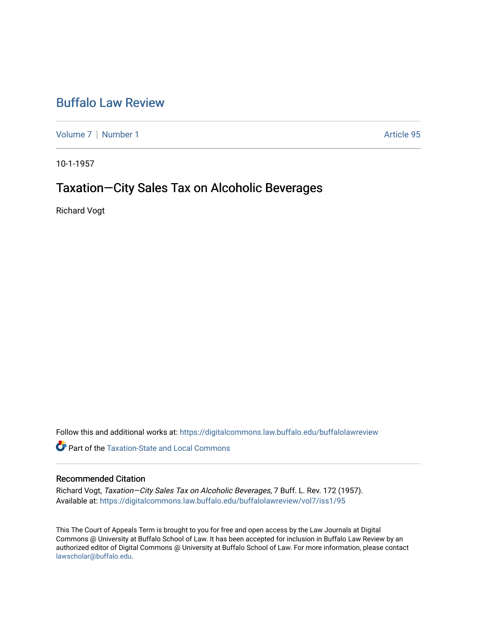# [Buffalo Law Review](https://digitalcommons.law.buffalo.edu/buffalolawreview)

[Volume 7](https://digitalcommons.law.buffalo.edu/buffalolawreview/vol7) | [Number 1](https://digitalcommons.law.buffalo.edu/buffalolawreview/vol7/iss1) Article 95

10-1-1957

## Taxation—City Sales Tax on Alcoholic Beverages

Richard Vogt

Follow this and additional works at: [https://digitalcommons.law.buffalo.edu/buffalolawreview](https://digitalcommons.law.buffalo.edu/buffalolawreview?utm_source=digitalcommons.law.buffalo.edu%2Fbuffalolawreview%2Fvol7%2Fiss1%2F95&utm_medium=PDF&utm_campaign=PDFCoverPages) 

**Part of the Taxation-State and Local Commons** 

## Recommended Citation

Richard Vogt, Taxation—City Sales Tax on Alcoholic Beverages, 7 Buff. L. Rev. 172 (1957). Available at: [https://digitalcommons.law.buffalo.edu/buffalolawreview/vol7/iss1/95](https://digitalcommons.law.buffalo.edu/buffalolawreview/vol7/iss1/95?utm_source=digitalcommons.law.buffalo.edu%2Fbuffalolawreview%2Fvol7%2Fiss1%2F95&utm_medium=PDF&utm_campaign=PDFCoverPages) 

This The Court of Appeals Term is brought to you for free and open access by the Law Journals at Digital Commons @ University at Buffalo School of Law. It has been accepted for inclusion in Buffalo Law Review by an authorized editor of Digital Commons @ University at Buffalo School of Law. For more information, please contact [lawscholar@buffalo.edu](mailto:lawscholar@buffalo.edu).